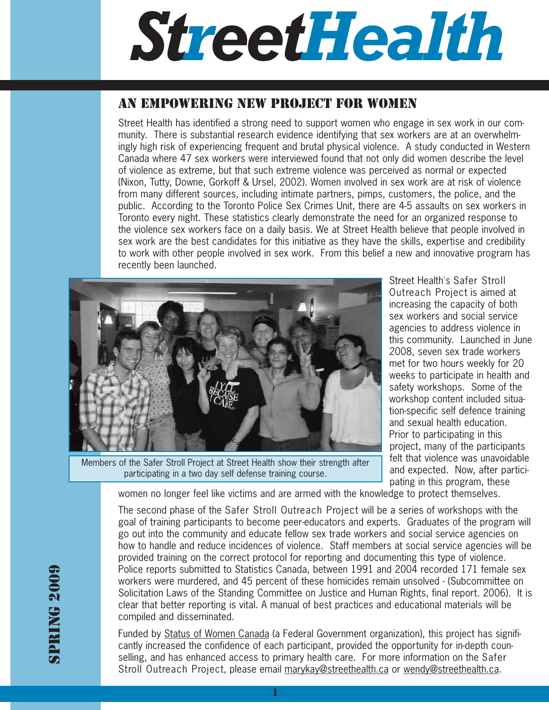# *StreetHealth*

## AN EMPOWERING NEW PROJECT FOR WOMEN

Street Health has identified a strong need to support women who engage in sex work in our community. There is substantial research evidence identifying that sex workers are at an overwhelmingly high risk of experiencing frequent and brutal physical violence. A study conducted in Western Canada where 47 sex workers were interviewed found that not only did women describe the level of violence as extreme, but that such extreme violence was perceived as normal or expected (Nixon, Tutty, Downe, Gorkoff & Ursel, 2002). Women involved in sex work are at risk of violence from many different sources, including intimate partners, pimps, customers, the police, and the public. According to the Toronto Police Sex Crimes Unit, there are 4-5 assaults on sex workers in Toronto every night. These statistics clearly demonstrate the need for an organized response to the violence sex workers face on a daily basis. We at Street Health believe that people involved in sex work are the best candidates for this initiative as they have the skills, expertise and credibility to work with other people involved in sex work. From this belief a new and innovative program has recently been launched.



Members of the Safer Stroll Project at Street Health show their strength after participating in a two day self defense training course.

Street Health's Safer Stroll Outreach Project is aimed at increasing the capacity of both sex workers and social service agencies to address violence in this community. Launched in June 2008, seven sex trade workers met for two hours weekly for 20 weeks to participate in health and safety workshops. Some of the workshop content included situation-specific self defence training and sexual health education. Prior to participating in this project, many of the participants felt that violence was unavoidable and expected. Now, after participating in this program, these

women no longer feel like victims and are armed with the knowledge to protect themselves.

The second phase of the Safer Stroll Outreach Project will be a series of workshops with the goal of training participants to become peer-educators and experts. Graduates of the program will go out into the community and educate fellow sex trade workers and social service agencies on how to handle and reduce incidences of violence. Staff members at social service agencies will be provided training on the correct protocol for reporting and documenting this type of violence. Police reports submitted to Statistics Canada, between 1991 and 2004 recorded 171 female sex workers were murdered, and 45 percent of these homicides remain unsolved - (Subcommittee on Solicitation Laws of the Standing Committee on Justice and Human Rights, final report. 2006). It is clear that better reporting is vital. A manual of best practices and educational materials will be compiled and disseminated.

Funded by Status of Women Canada (a Federal Government organization), this project has significantly increased the confidence of each participant, provided the opportunity for in-depth counselling, and has enhanced access to primary health care. For more information on the Safer Stroll Outreach Project, please email marykay@streethealth.ca or wendy@streethealth.ca.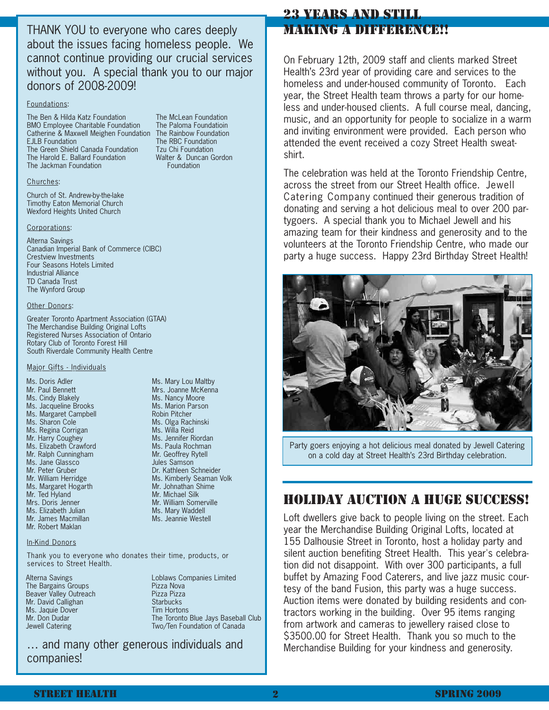THANK YOU to everyone who cares deeply about the issues facing homeless people. We cannot continue providing our crucial services without you. A special thank you to our major donors of 2008-2009!

#### Foundations:

The Ben & Hilda Katz Foundation The McLean Foundation BMO Employee Charitable Foundation The Paloma Foundatioin Catherine & Maxwell Meighen Foundation The Rainbow Foundation EJLB Foundation The RBC Foundation The Green Shield Canada Foundation Tzu Chi Foundation The Harold E. Ballard Foundation Walter & Duncan Gordon The Jackman Foundation **Foundation Foundation** 

#### Churches:

Church of St. Andrew-by-the-lake Timothy Eaton Memorial Church Wexford Heights United Church

#### Corporations:

Alterna Savings Canadian Imperial Bank of Commerce (CIBC) Crestview Investments Four Seasons Hotels Limited Industrial Alliance TD Canada Trust The Wynford Group

#### Other Donors:

Greater Toronto Apartment Association (GTAA) The Merchandise Building Original Lofts Registered Nurses Association of Ontario Rotary Club of Toronto Forest Hill South Riverdale Community Health Centre

#### Major Gifts - Individuals

Ms. Doris Adler **Mary Louis Adler** Ms. Mary Lou Maltby Mr. Paul Bennett Campbell Mrs. Joanne McKenna Ms. Cindy Blakely **Miss Annual Miss.** Nancy Moore Ms. Jacqueline Brooks Ms. Marion Parson Ms. Margaret Campbell **Mus. And American** Robin Pitcher Ms. Sharon Cole **Ms. Dinner Ms. Olga Rachinski** Ms. Regina Corrigan and Mr. Willa Reid Mr. Harry Coughey **Mr. Harry Coughey** Ms. Elizabeth Crawford **Miss Miss Miss Miss Miss Muss** Miss Paula Rochman Mr. Ralph Cunningham Mr. Geoffrey Rytell Ms. Jane Glassco Mr. Peter Gruber and The Lyn Mathleen Schneider Mr. William Herridge **Michael Mr. Mary Seaman Volk** Ms. Kimberly Seaman Volk Ms. Margaret Hogarth Mr. Johnathan Shime Ms. Doris Adler Mr. Paul Bennett Ms. Cindy Blakely Ms. Jacqueline Brooks Ms. Sharon Cole Mr. Harry Coughey Mr. Peter Gruber Mr. William Herridge Mr. Ted Hyland Mrs. Doris Jenner Ms. Elizabeth Julian Mr. James Macmillan Mr. Robert Maklan

#### In-Kind Donors

Thank you to everyone who donates their time, products, or services to Street Health.

Alterna Savings The Bargains Groups Beaver Valley Outreach Mr. David Callighan Ms. Jaquie Dover Mr. Don Dudar Jewell Catering

Loblaws Companies Limited Pizza Nova Pizza Pizza **Starbucks** Tim Hortons The Toronto Blue Jays Baseball Club Two/Ten Foundation of Canada

Robin Pitcher Ms. Willa Reid

Ms. Paula Rochman Mr. Geoffrey Rytell Jules Samson

Mr. Johnathan Shime Mr. Michael Silk Mr. William Somerville Ms. Mary Waddell Ms. Jeannie Westell

… and many other generous individuals and companies!

## 23 YEARS AND STILL MAKING A DIFFERENCEM

On February 12th, 2009 staff and clients marked Street Health's 23rd year of providing care and services to the homeless and under-housed community of Toronto. Each year, the Street Health team throws a party for our homeless and under-housed clients. A full course meal, dancing, music, and an opportunity for people to socialize in a warm and inviting environment were provided. Each person who attended the event received a cozy Street Health sweatshirt.

The celebration was held at the Toronto Friendship Centre, across the street from our Street Health office. Jewell Catering Company continued their generous tradition of donating and serving a hot delicious meal to over 200 partygoers. A special thank you to Michael Jewell and his amazing team for their kindness and generosity and to the volunteers at the Toronto Friendship Centre, who made our party a huge success. Happy 23rd Birthday Street Health!



Party goers enjoying a hot delicious meal donated by Jewell Catering on a cold day at Street Health's 23rd Birthday celebration.

## HOLIDAY AUCTION A HUGE SUCCESS!

Loft dwellers give back to people living on the street. Each year the Merchandise Building Original Lofts, located at 155 Dalhousie Street in Toronto, host a holiday party and silent auction benefiting Street Health. This year's celebration did not disappoint. With over 300 participants, a full buffet by Amazing Food Caterers, and live jazz music courtesy of the band Fusion, this party was a huge success. Auction items were donated by building residents and contractors working in the building. Over 95 items ranging from artwork and cameras to jewellery raised close to \$3500.00 for Street Health. Thank you so much to the Merchandise Building for your kindness and generosity.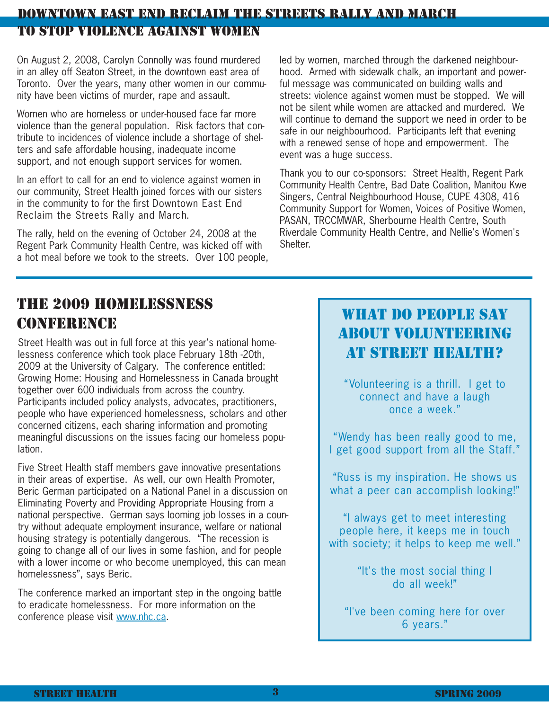# DOWNTOWN EAST END RECLAIM THE STREETS RALLY AND MARCH TO STOP VIOLENCE AGAINST WOMEN

On August 2, 2008, Carolyn Connolly was found murdered in an alley off Seaton Street, in the downtown east area of Toronto. Over the years, many other women in our community have been victims of murder, rape and assault.

Women who are homeless or under-housed face far more violence than the general population. Risk factors that contribute to incidences of violence include a shortage of shelters and safe affordable housing, inadequate income support, and not enough support services for women.

In an effort to call for an end to violence against women in our community, Street Health joined forces with our sisters in the community to for the first Downtown East End Reclaim the Streets Rally and March.

The rally, held on the evening of October 24, 2008 at the Regent Park Community Health Centre, was kicked off with a hot meal before we took to the streets. Over 100 people,

led by women, marched through the darkened neighbourhood. Armed with sidewalk chalk, an important and powerful message was communicated on building walls and streets: violence against women must be stopped. We will not be silent while women are attacked and murdered. We will continue to demand the support we need in order to be safe in our neighbourhood. Participants left that evening with a renewed sense of hope and empowerment. The event was a huge success.

Thank you to our co-sponsors: Street Health, Regent Park Community Health Centre, Bad Date Coalition, Manitou Kwe Singers, Central Neighbourhood House, CUPE 4308, 416 Community Support for Women, Voices of Positive Women, PASAN, TRCCMWAR, Sherbourne Health Centre, South Riverdale Community Health Centre, and Nellie's Women's Shelter.

# THE 2009 HOMELESSNESS CONFERENCE

Street Health was out in full force at this year's national homelessness conference which took place February 18th -20th, 2009 at the University of Calgary. The conference entitled: Growing Home: Housing and Homelessness in Canada brought together over 600 individuals from across the country. Participants included policy analysts, advocates, practitioners, people who have experienced homelessness, scholars and other concerned citizens, each sharing information and promoting meaningful discussions on the issues facing our homeless population.

Five Street Health staff members gave innovative presentations in their areas of expertise. As well, our own Health Promoter, Beric German participated on a National Panel in a discussion on Eliminating Poverty and Providing Appropriate Housing from a national perspective. German says looming job losses in a country without adequate employment insurance, welfare or national housing strategy is potentially dangerous. "The recession is going to change all of our lives in some fashion, and for people with a lower income or who become unemployed, this can mean homelessness", says Beric.

The conference marked an important step in the ongoing battle to eradicate homelessness. For more information on the conference please visit www.nhc.ca.

# WHAT DO PEOPLE SAY ABOUT VOLUNTEERING AT STREET HEALTH?

"Volunteering is a thrill. I get to connect and have a laugh once a week."

"Wendy has been really good to me, I get good support from all the Staff."

"Russ is my inspiration. He shows us what a peer can accomplish looking!"

"I always get to meet interesting people here, it keeps me in touch with society; it helps to keep me well."

> "It's the most social thing I do all week!"

"I've been coming here for over 6 years."